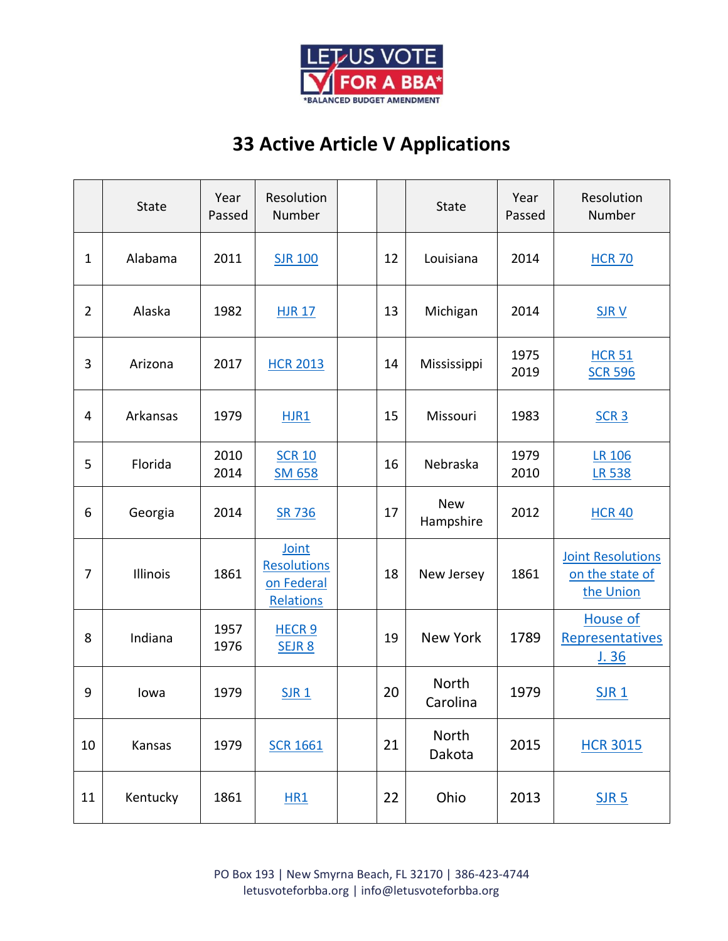

## **33 Active Article V Applications**

|                | <b>State</b> | Year<br>Passed | Resolution<br>Number                                   |    | <b>State</b>             | Year<br>Passed | Resolution<br>Number                                     |
|----------------|--------------|----------------|--------------------------------------------------------|----|--------------------------|----------------|----------------------------------------------------------|
| $\mathbf{1}$   | Alabama      | 2011           | <b>SJR 100</b>                                         | 12 | Louisiana                | 2014           | <b>HCR 70</b>                                            |
| $\overline{2}$ | Alaska       | 1982           | <b>HJR 17</b>                                          | 13 | Michigan                 | 2014           | <b>SJRV</b>                                              |
| 3              | Arizona      | 2017           | <b>HCR 2013</b>                                        | 14 | Mississippi              | 1975<br>2019   | <b>HCR 51</b><br><b>SCR 596</b>                          |
| 4              | Arkansas     | 1979           | HJR1                                                   | 15 | Missouri                 | 1983           | SCR <sub>3</sub>                                         |
| 5              | Florida      | 2010<br>2014   | <b>SCR 10</b><br><b>SM 658</b>                         | 16 | Nebraska                 | 1979<br>2010   | <b>LR 106</b><br><b>LR 538</b>                           |
| 6              | Georgia      | 2014           | <b>SR 736</b>                                          | 17 | <b>New</b><br>Hampshire  | 2012           | <b>HCR 40</b>                                            |
| $\overline{7}$ | Illinois     | 1861           | Joint<br><b>Resolutions</b><br>on Federal<br>Relations | 18 | New Jersey               | 1861           | <b>Joint Resolutions</b><br>on the state of<br>the Union |
| 8              | Indiana      | 1957<br>1976   | HECR <sub>9</sub><br>SEJR 8                            | 19 | <b>New York</b>          | 1789           | <b>House of</b><br>Representatives<br><u>J. 36</u>       |
| 9              | lowa         | 1979           | <b>SJR1</b>                                            | 20 | <b>North</b><br>Carolina | 1979           | <b>SJR1</b>                                              |
| 10             | Kansas       | 1979           | <b>SCR 1661</b>                                        | 21 | North<br>Dakota          | 2015           | <b>HCR 3015</b>                                          |
| 11             | Kentucky     | 1861           | <b>HR1</b>                                             | 22 | Ohio                     | 2013           | $S$ JR 5                                                 |